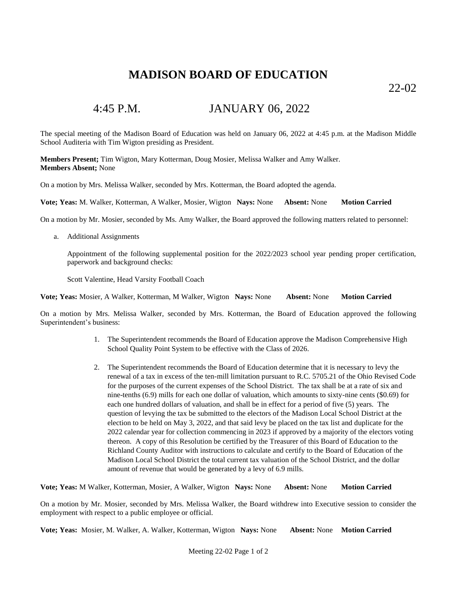## **MADISON BOARD OF EDUCATION**

22-02

## 4:45 P.M. JANUARY 06, 2022

The special meeting of the Madison Board of Education was held on January 06, 2022 at 4:45 p.m. at the Madison Middle School Auditeria with Tim Wigton presiding as President.

**Members Present;** Tim Wigton, Mary Kotterman, Doug Mosier, Melissa Walker and Amy Walker. **Members Absent;** None

On a motion by Mrs. Melissa Walker, seconded by Mrs. Kotterman, the Board adopted the agenda.

**Vote; Yeas:** M. Walker, Kotterman, A Walker, Mosier, Wigton **Nays:** None **Absent:** None **Motion Carried**

On a motion by Mr. Mosier, seconded by Ms. Amy Walker, the Board approved the following matters related to personnel:

a. Additional Assignments

Appointment of the following supplemental position for the 2022/2023 school year pending proper certification, paperwork and background checks:

Scott Valentine, Head Varsity Football Coach

**Vote; Yeas:** Mosier, A Walker, Kotterman, M Walker, Wigton **Nays:** None **Absent:** None **Motion Carried**

On a motion by Mrs. Melissa Walker, seconded by Mrs. Kotterman, the Board of Education approved the following Superintendent's business:

- 1. The Superintendent recommends the Board of Education approve the Madison Comprehensive High School Quality Point System to be effective with the Class of 2026.
- 2. The Superintendent recommends the Board of Education determine that it is necessary to levy the renewal of a tax in excess of the ten-mill limitation pursuant to R.C. 5705.21 of the Ohio Revised Code for the purposes of the current expenses of the School District. The tax shall be at a rate of six and nine-tenths (6.9) mills for each one dollar of valuation, which amounts to sixty-nine cents (\$0.69) for each one hundred dollars of valuation, and shall be in effect for a period of five (5) years. The question of levying the tax be submitted to the electors of the Madison Local School District at the election to be held on May 3, 2022, and that said levy be placed on the tax list and duplicate for the 2022 calendar year for collection commencing in 2023 if approved by a majority of the electors voting thereon. A copy of this Resolution be certified by the Treasurer of this Board of Education to the Richland County Auditor with instructions to calculate and certify to the Board of Education of the Madison Local School District the total current tax valuation of the School District, and the dollar amount of revenue that would be generated by a levy of 6.9 mills.

**Vote; Yeas:** M Walker, Kotterman, Mosier, A Walker, Wigton **Nays:** None **Absent:** None **Motion Carried**

On a motion by Mr. Mosier, seconded by Mrs. Melissa Walker, the Board withdrew into Executive session to consider the employment with respect to a public employee or official.

**Vote; Yeas:** Mosier, M. Walker, A. Walker, Kotterman, Wigton **Nays:** None **Absent:** None **Motion Carried**